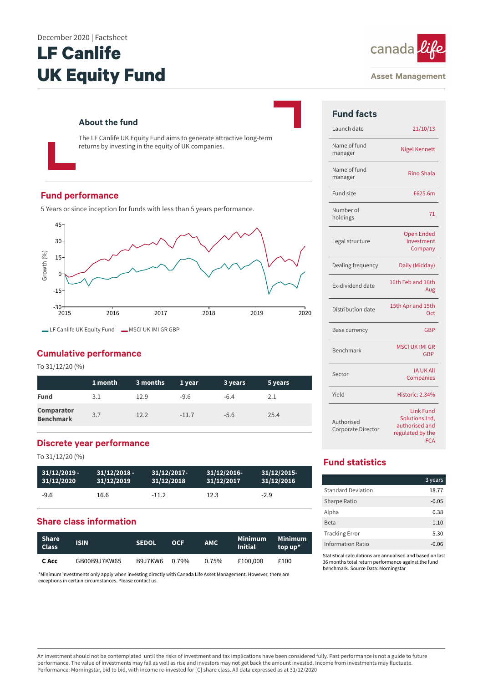#### December 2020 | Factsheet

# **LF Canlife UK Equity Fund**



#### **Asset Management**

# **About the fund**

The LF Canlife UK Equity Fund aims to generate attractive long-term returns by investing in the equity of UK companies.

# **Fund performance**

5 Years or since inception for funds with less than 5 years performance.



# **Cumulative performance**

To 31/12/20 (%)

|                                       | 1 month | 3 months | 1 year  | 3 years | 5 years |
|---------------------------------------|---------|----------|---------|---------|---------|
| <b>Fund</b>                           | 3.1     | 12.9     | $-9.6$  | $-6.4$  | 2.1     |
| <b>Comparator</b><br><b>Benchmark</b> | 3.7     | 12.2     | $-11.7$ | $-5.6$  | 25.4    |

# **Discrete year performance**

To 31/12/20 (%)

| $31/12/2019 -$ | $31/12/2018 -$ | $31/12/2017$ - | 31/12/2016 | 31/12/2015 |
|----------------|----------------|----------------|------------|------------|
| 31/12/2020     | 31/12/2019     | 31/12/2018     | 31/12/2017 | 31/12/2016 |
| $-9.6$         | 16.6           | $-11.2$        | 12.3       | $-2.9$     |

# **Share class information**

| <b>Share</b><br><b>Class</b> | <b>ISIN</b>  | <b>SEDOL</b> | <b>OCF</b> | AMC.     | <b>Minimum</b><br><b>Initial</b> | <b>Minimum</b><br>top up* |
|------------------------------|--------------|--------------|------------|----------|----------------------------------|---------------------------|
| C Acc                        | GB00B9J7KW65 | B9J7KW6      | 0.79%      | $0.75\%$ | £100,000                         | £100                      |

\*Minimum investments only apply when investing directly with Canada Life Asset Management. However, there are exceptions in certain circumstances. Please contact us.

| <b>Fund facts</b> |
|-------------------|
| Launch date       |
| $\cdots$ $\cdots$ |

| Launch date                      | 21/10/13                                                                               |
|----------------------------------|----------------------------------------------------------------------------------------|
| Name of fund<br>manager          | <b>Nigel Kennett</b>                                                                   |
| Name of fund<br>manager          | Rino Shala                                                                             |
| Fund size                        | £625.6m                                                                                |
| Number of<br>holdings            | 71                                                                                     |
| Legal structure                  | <b>Open Ended</b><br>Investment<br>Company                                             |
| Dealing frequency                | Daily (Midday)                                                                         |
| <b>Fx-dividend date</b>          | 16th Feb and 16th<br>Aug                                                               |
| Distribution date                | 15th Apr and 15th<br>Oct                                                               |
| Base currency                    | GBP                                                                                    |
| Benchmark                        | <b>MSCI UK IMI GR</b><br>GBP                                                           |
| Sector                           | <b>IA UK All</b><br>Companies                                                          |
| Yield                            | Historic: 2.34%                                                                        |
| Authorised<br>Corporate Director | <b>Link Fund</b><br>Solutions Ltd,<br>authorised and<br>regulated by the<br><b>FCA</b> |

# **Fund statistics**

|                           | 3 years |
|---------------------------|---------|
| <b>Standard Deviation</b> | 18.77   |
| Sharpe Ratio              | $-0.05$ |
| Alpha                     | 0.38    |
| <b>Beta</b>               | 1.10    |
| <b>Tracking Error</b>     | 5.30    |
| Information Ratio         | $-0.06$ |

Statistical calculations are annualised and based on last 36 months total return performance against the fund benchmark. Source Data: Morningstar